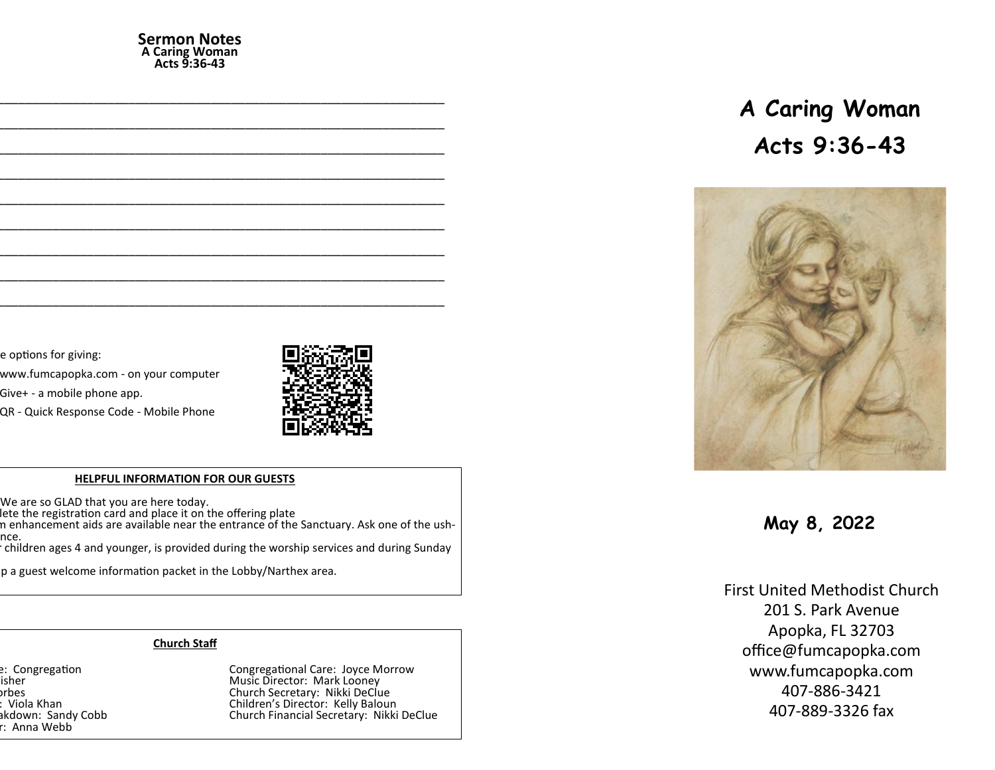#### **Sermon Notes A Caring Woman Acts 9:36-43**

e options for giving:

www.fumcapopka.com - on your computer

Give+ - a mobile phone app.

QR - Quick Response Code - Mobile Phone



# **HELPFUL INFORMATION FOR OUR GUESTS**

We are so GLAD that you are here today.

lete the registration card and place it on the offering plate

n enhancement aids are available near the entrance of the Sanctuary. Ask one of the ushnce.

......<br>children ages 4 and younger, is provided during the worship services and during Sunday

p a guest welcome information packet in the Lobby/Narthex area.

# **Church Staff**

r: Anna Webb

e: Congregation at Largestian Congregational Care: Joyce Morrow Pastor: John G. Fisher Music Director: Mark Looney orbes Church Secretary: Nikki DeClue<br>Children's Director: Kelly Baloui (Children's Director: Kelly Baloui ) Nursery Workers: Viola Khan Children's Director: Kelly Baloun akdown: Sandy Cobb **Church Financial Secretary: Nikki DeClue** 

# **A Caring Woman Acts 9:36-43**



**May 8, 2022**

First United Methodist Church 201 S. Park Avenue Apopka, FL 32703 office@fumcapopka.com www.fumcapopka.com 407-886-3421 407-889-3326 fax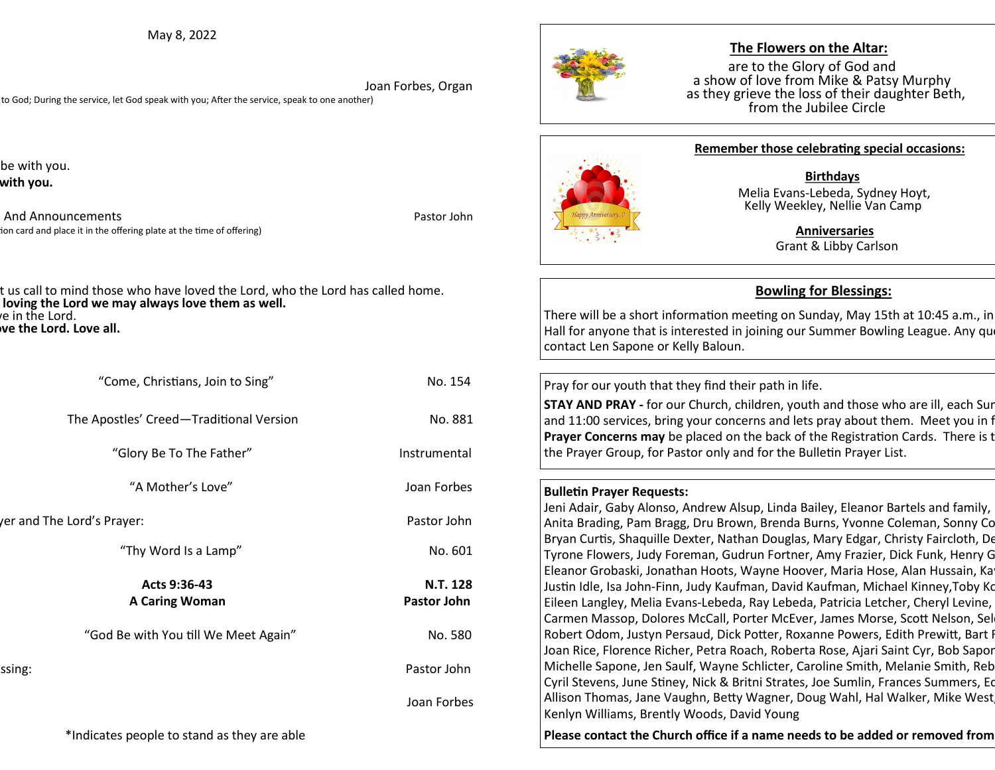May 8, 2022

 Joan Forbes, Organ to God; During the service, let God speak with you; After the service, speak to one another)

be with you. with you.

And Announcements **And Announcements Pastor John** ion card and place it in the offering plate at the time of offering)

t us call to mind those who have loved the Lord, who the Lord has called home. **People than Lord we may always love them as well.** e in the Lord. **Pearthe Lord. Love all.** 

| "Come, Christians, Join to Sing"            | No. 154                        |
|---------------------------------------------|--------------------------------|
| The Apostles' Creed-Traditional Version     | No. 881                        |
| "Glory Be To The Father"                    | Instrumental                   |
| "A Mother's Love"                           | Joan Forbes                    |
| er and The Lord's Prayer:                   | Pastor John                    |
| "Thy Word Is a Lamp"                        | No. 601                        |
| Acts 9:36-43<br><b>A Caring Woman</b>       | N.T. 128<br><b>Pastor John</b> |
| "God Be with You till We Meet Again"        | No. 580                        |
| ssing:                                      | Pastor John                    |
|                                             | Joan Forbes                    |
| *Indicates people to stand as they are able |                                |

# **The Flowers on the Altar:**

are to the Glory of God and a show of love from Mike & Patsy Murphy as they grieve the loss of their daughter Beth, from the Jubilee Circle



# **Remember those celebrating special occasions:**

 **Birthdays** Melia Evans-Lebeda, Sydney Hoyt, Kelly Weekley, Nellie Van Camp

**Anniversaries**

Grant & Libby Carlson

# **Bowling for Blessings:**

There will be a short information meeting on Sunday, May 15th at 10:45 a.m., in Hall for anyone that is interested in joining our Summer Bowling League. Any questions, please in please summer contact Len Sapone or Kelly Baloun.

Pray for our youth that they find their path in life.

**STAY AND PRAY -** for our Church, children, youth and those who are ill, each Sur and 11:00 services, bring your concerns and lets pray about them. Meet you in f **Prayer Concerns may** be placed on the back of the Registration Cards. There is the Prayer and Prayer and Prayer Brayer Formation Cards. the Prayer Group, for Pastor only and for the Bulletin Prayer List.

# **Bulletin Prayer Requests:**

Jeni Adair, Gaby Alonso, Andrew Alsup, Linda Bailey, Eleanor Bartels and family, Anita Brading, Pam Bragg, Dru Brown, Brenda Burns, Yvonne Coleman, Sonny Co Bryan Curtis, Shaquille Dexter, Nathan Douglas, Mary Edgar, Christy Faircloth, De Tyrone Flowers, Judy Foreman, Gudrun Fortner, Amy Frazier, Dick Funk, Henry G Eleanor Grobaski, Jonathan Hoots, Wayne Hoover, Maria Hose, Alan Hussain, Ka Justin Idle, Isa John-Finn, Judy Kaufman, David Kaufman, Michael Kinney,Toby Ko Eileen Langley, Melia Evans-Lebeda, Ray Lebeda, Patricia Letcher, Cheryl Levine, Carmen Massop, Dolores McCall, Porter McEver, James Morse, Scott Nelson, Sel Robert Odom, Justyn Persaud, Dick Potter, Roxanne Powers, Edith Prewitt, Bart I Joan Rice, Florence Richer, Petra Roach, Roberta Rose, Ajari Saint Cyr, Bob Sapor Michelle Sapone, Jen Saulf, Wayne Schlicter, Caroline Smith, Melanie Smith, Reb Cyril Stevens, June Stiney, Nick & Britni Strates, Joe Sumlin, Frances Summers, Eq Allison Thomas, Jane Vaughn, Betty Wagner, Doug Wahl, Hal Walker, Mike West Kenlyn Williams, Brently Woods, David Young

Please contact the Church office if a name needs to be added or removed from